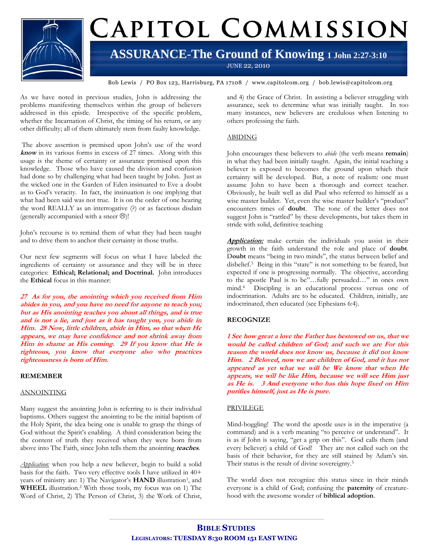

# CAPITOL COMMISSION

## **ASSURANCE-The Ground of Knowing 1 John 2:27-3:10**

JUNE 22, 2010

Bob Lewis / PO Box 123, Harrisburg, PA 17108 / www.capitolcom.org / bob.lewis@capitolcom.org

As we have noted in previous studies, John is addressing the problems manifesting themselves within the group of believers addressed in this epistle. Irrespective of the specific problem, whether the Incarnation of Christ, the timing of his return, or any other difficulty; all of them ultimately stem from faulty knowledge.

The above assertion is premised upon John's use of the word **know** in its various forms in excess of 27 times. Along with this usage is the theme of certainty or assurance premised upon this knowledge. Those who have caused the division and confusion had done so by challenging what had been taught by John. Just as the wicked one in the Garden of Eden insinuated to Eve a doubt as to God's veracity. In fact, the insinuation is one implying that what had been said was not true. It is on the order of one hearing the word REALLY as an interrogative (?) or as facetious disdain (generally accompanied with a sneer  $\Theta$ )!

John's recourse is to remind them of what they had been taught and to drive them to anchor their certainty in those truths.

Our next few segments will focus on what I have labeled the ingredients of certainty or assurance and they will be in three categories: **Ethical; Relational; and Doctrinal.** John introduces the **Ethical** focus in this manner:

**27 As for you, the anointing which you received from Him abides in you, and you have no need for anyone to teach you; but as His anointing teaches you about all things, and is true and is not a lie, and just as it has taught you, you abide in Him. 28 Now, little children, abide in Him, so that when He appears, we may have confidence and not shrink away from Him in shame at His coming. 29 If you know that He is righteous, you know that everyone also who practices righteousness is born of Him.**

### **REMEMBER**

### ANNOINTING

Many suggest the anointing John is referring to is their individual baptisms. Others suggest the anointing to be the initial baptism of the Holy Spirit, the idea being one is unable to grasp the things of God without the Spirit's enabling. A third consideration being the the content of truth they received when they were born from above into The Faith, since John tells them the anointing **teaches**.

*Application:* when you help a new believer, begin to build a solid basis for the faith. Two very effective tools I have utilized in 40+ years of ministry are: 1) The Navigator's HAND illustration<sup>1</sup>, and **WHEEL** illustration.<sup>2</sup> With those tools, my focus was on 1) The Word of Christ, 2) The Person of Christ, 3) the Work of Christ,

and 4) the Grace of Christ. In assisting a believer struggling with assurance, seek to determine what was initially taught. In too many instances, new believers are credulous when listening to others professing the faith.

### ABIDING

John encourages these believers to *abide* (the verb means **remain**) in what they had been initially taught. Again, the initial teaching a believer is exposed to becomes the ground upon which their certainty will be developed. But, a note of realism: one must assume John to have been a thorough and correct teacher. Obviously, he built well as did Paul who referred to himself as a wise master builder. Yet, even the wise master builder's "product" encounters times of **doubt**. The tone of the letter does not suggest John is "rattled" by these developments, but takes them in stride with solid, definitive teaching

**Application:** make certain the individuals you assist in their growth in the faith understand the role and place of **doubt**. D**oubt** means "being in two minds", the status between belief and disbelief.<sup>3</sup> Being in this "state" is not something to be feared, but expected if one is progressing normally. The objective, according to the apostle Paul is to be"…fully persuaded…" in ones own mind.<sup>4</sup> Discipling is an educational process versus one of indoctrination. Adults are to be educated. Children, initially, are indoctrinated, then educated (see Ephesians 6:4).

### **RECOGNIZE**

**1 See how great a love the Father has bestowed on us, that we would be called children of God; and such we are For this reason the world does not know us, because it did not know Him. 2 Beloved, now we are children of God, and it has not appeared as yet what we will be We know that when He appears, we will be like Him, because we will see Him just as He is. 3 And everyone who has this hope fixed on Him purifies himself, just as He is pure.**

### PRIVILEGE

Mind-boggling! The word the apostle uses is in the imperative (a command) and is a verb meaning "to perceive or understand". It is as if John is saying, "get a grip on this". God calls them (and every believer) a child of God! They are not called such on the basis of their behavior, for they are still stained by Adam's sin. Their status is the result of divine sovereignty.<sup>5</sup>

The world does not recognize this status since in their minds everyone is a child of God; confusing the **paternity** of creaturehood with the awesome wonder of **biblical adoption**.